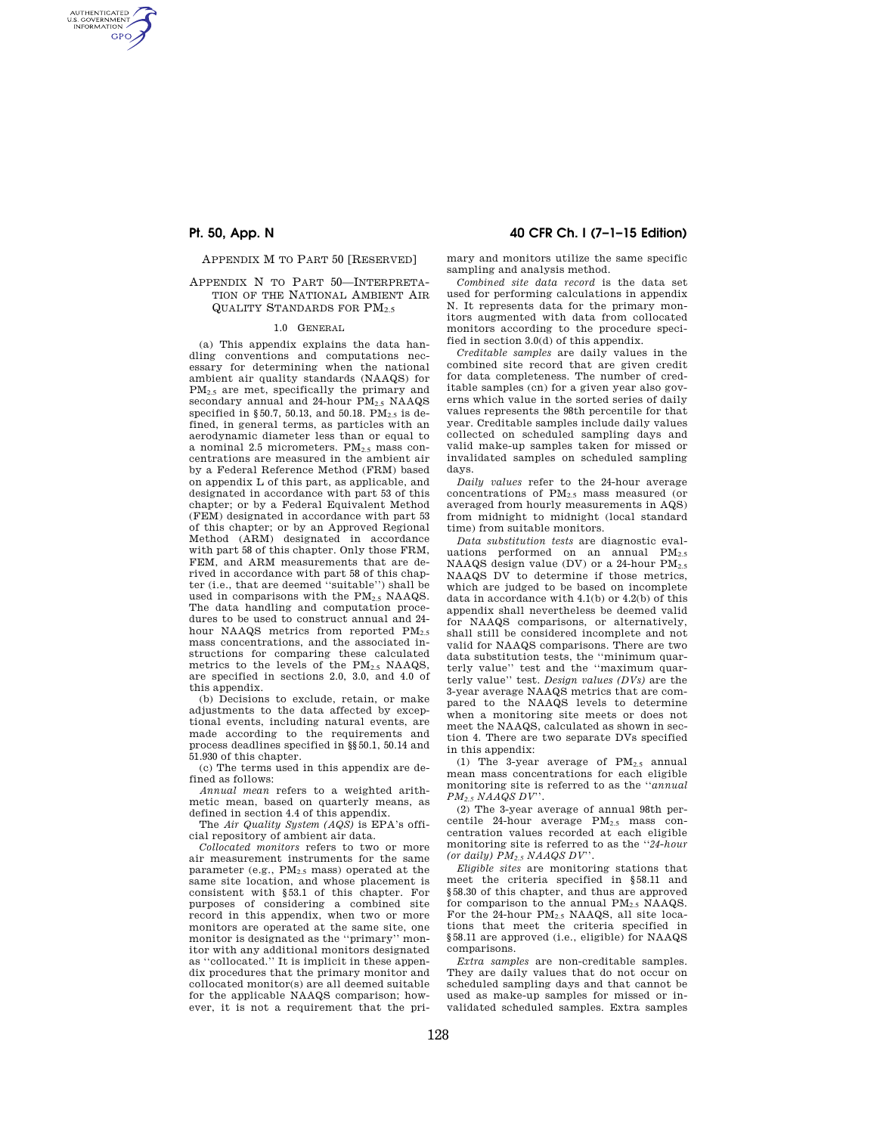AUTHENTICATED<br>U.S. GOVERNMENT<br>INFORMATION **GPO** 

APPENDIX M TO PART 50 [RESERVED]

## APPENDIX N TO PART 50—INTERPRETA-TION OF THE NATIONAL AMBIENT AIR QUALITY STANDARDS FOR  $PM_2$ 5

# 1.0 GENERAL

(a) This appendix explains the data handling conventions and computations nec-essary for determining when the national ambient air quality standards (NAAQS) for PM<sub>2.5</sub> are met, specifically the primary and secondary annual and 24-hour  $PM_{2.5}$  NAAQS specified in §50.7, 50.13, and 50.18. PM $_2$  is defined, in general terms, as particles with an aerodynamic diameter less than or equal to a nominal 2.5 micrometers.  $PM_{2.5}$  mass concentrations are measured in the ambient air by a Federal Reference Method (FRM) based on appendix L of this part, as applicable, and designated in accordance with part 53 of this chapter; or by a Federal Equivalent Method (FEM) designated in accordance with part 53 of this chapter; or by an Approved Regional Method (ARM) designated in accordance with part 58 of this chapter. Only those FRM, FEM, and ARM measurements that are derived in accordance with part 58 of this chapter (i.e., that are deemed ''suitable'') shall be used in comparisons with the PM<sub>2.5</sub> NAAQS. The data handling and computation procedures to be used to construct annual and 24 hour NAAQS metrics from reported PM2.5 mass concentrations, and the associated instructions for comparing these calculated metrics to the levels of the PM2.5 NAAQS, are specified in sections 2.0, 3.0, and 4.0 of this appendix.

(b) Decisions to exclude, retain, or make adjustments to the data affected by exceptional events, including natural events, are made according to the requirements and process deadlines specified in §§50.1, 50.14 and 51.930 of this chapter.

(c) The terms used in this appendix are defined as follows:

*Annual mean* refers to a weighted arithmetic mean, based on quarterly means, as defined in section 4.4 of this appendix.

The *Air Quality System (AQS)* is EPA's official repository of ambient air data.

*Collocated monitors* refers to two or more air measurement instruments for the same parameter (e.g.,  $PM_{2.5}$  mass) operated at the same site location, and whose placement is consistent with §53.1 of this chapter. For purposes of considering a combined site record in this appendix, when two or more monitors are operated at the same site, one monitor is designated as the ''primary'' monitor with any additional monitors designated as ''collocated.'' It is implicit in these appendix procedures that the primary monitor and collocated monitor(s) are all deemed suitable for the applicable NAAQS comparison; however, it is not a requirement that the pri-

# **Pt. 50, App. N 40 CFR Ch. I (7–1–15 Edition)**

mary and monitors utilize the same specific sampling and analysis method.

*Combined site data record* is the data set used for performing calculations in appendix N. It represents data for the primary monitors augmented with data from collocated monitors according to the procedure specified in section 3.0(d) of this appendix.

*Creditable samples* are daily values in the combined site record that are given credit for data completeness. The number of creditable samples (cn) for a given year also governs which value in the sorted series of daily values represents the 98th percentile for that year. Creditable samples include daily values collected on scheduled sampling days and valid make-up samples taken for missed or invalidated samples on scheduled sampling days.

*Daily values* refer to the 24-hour average concentrations of PM2.5 mass measured (or averaged from hourly measurements in AQS) from midnight to midnight (local standard time) from suitable monitors.

*Data substitution tests* are diagnostic evaluations performed on an annual  $PM_{2.5}$ NAAQS design value (DV) or a 24-hour  $PM_{2.5}$ NAAQS DV to determine if those metrics, which are judged to be based on incomplete data in accordance with 4.1(b) or 4.2(b) of this appendix shall nevertheless be deemed valid for NAAQS comparisons, or alternatively, shall still be considered incomplete and not valid for NAAQS comparisons. There are two data substitution tests, the ''minimum quarterly value'' test and the ''maximum quarterly value'' test. *Design values (DVs)* are the 3-year average NAAQS metrics that are compared to the NAAQS levels to determine when a monitoring site meets or does not meet the NAAQS, calculated as shown in section 4. There are two separate DVs specified in this appendix:

(1) The 3-year average of  $PM<sub>2.5</sub>$  annual mean mass concentrations for each eligible monitoring site is referred to as the ''*annual PM2.5 NAAQS DV*''.

(2) The 3-year average of annual 98th percentile 24-hour average PM2.5 mass concentration values recorded at each eligible monitoring site is referred to as the ''*24-hour (or daily) PM2.5 NAAQS DV*''.

*Eligible sites* are monitoring stations that meet the criteria specified in §58.11 and §58.30 of this chapter, and thus are approved for comparison to the annual  $PM<sub>2.5</sub> NAAQS$ . For the 24-hour PM2.5 NAAQS, all site locations that meet the criteria specified in §58.11 are approved (i.e., eligible) for NAAQS comparisons.

*Extra samples* are non-creditable samples. They are daily values that do not occur on scheduled sampling days and that cannot be used as make-up samples for missed or invalidated scheduled samples. Extra samples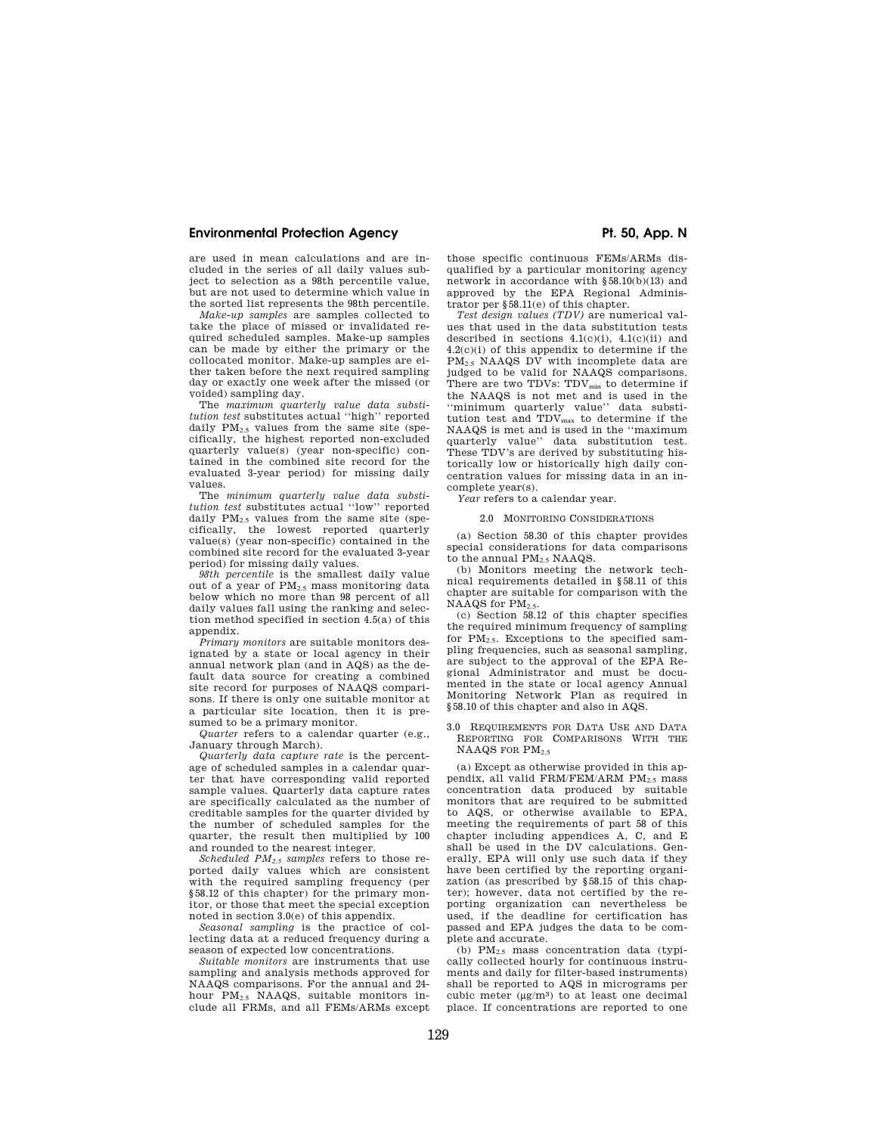# **Environmental Protection Agency**  The Contract of Pt. 50, App. N

are used in mean calculations and are included in the series of all daily values subject to selection as a 98th percentile value, but are not used to determine which value in the sorted list represents the 98th percentile.

*Make-up samples* are samples collected to take the place of missed or invalidated required scheduled samples. Make-up samples can be made by either the primary or the collocated monitor. Make-up samples are either taken before the next required sampling day or exactly one week after the missed (or voided) sampling day.

The *maximum quarterly value data substitution test* substitutes actual ''high'' reported daily  $PM_{2.5}$  values from the same site (specifically, the highest reported non-excluded quarterly value(s) (year non-specific) contained in the combined site record for the evaluated 3-year period) for missing daily values.

The *minimum quarterly value data substitution test* substitutes actual ''low'' reported daily  $PM_{2.5}$  values from the same site (specifically, the lowest reported quarterly value(s) (year non-specific) contained in the combined site record for the evaluated 3-year period) for missing daily values.

*98th percentile* is the smallest daily value out of a year of  $PM_{2.5}$  mass monitoring data below which no more than 98 percent of all daily values fall using the ranking and selection method specified in section 4.5(a) of this appendix.

*Primary monitors* are suitable monitors designated by a state or local agency in their annual network plan (and in AQS) as the default data source for creating a combined site record for purposes of NAAQS comparisons. If there is only one suitable monitor at a particular site location, then it is presumed to be a primary monitor.

*Quarter* refers to a calendar quarter (e.g., January through March).

*Quarterly data capture rate* is the percentage of scheduled samples in a calendar quarter that have corresponding valid reported sample values. Quarterly data capture rates are specifically calculated as the number of creditable samples for the quarter divided by the number of scheduled samples for the quarter, the result then multiplied by 100 and rounded to the nearest integer.

*Scheduled PM2.5 samples* refers to those reported daily values which are consistent with the required sampling frequency (per §58.12 of this chapter) for the primary monitor, or those that meet the special exception noted in section 3.0(e) of this appendix.

*Seasonal sampling* is the practice of collecting data at a reduced frequency during a season of expected low concentrations.

*Suitable monitors* are instruments that use sampling and analysis methods approved for NAAQS comparisons. For the annual and 24 hour PM2.5 NAAQS, suitable monitors include all FRMs, and all FEMs/ARMs except

those specific continuous FEMs/ARMs disqualified by a particular monitoring agency network in accordance with §58.10(b)(13) and approved by the EPA Regional Administrator per §58.11(e) of this chapter.

*Test design values (TDV)* are numerical values that used in the data substitution tests described in sections  $4.1(c)(i)$ ,  $4.1(c)(ii)$  and 4.2(c)(i) of this appendix to determine if the PM2.5 NAAQS DV with incomplete data are judged to be valid for NAAQS comparisons. There are two TDVs: TDV<sub>min</sub> to determine if the NAAQS is not met and is used in the ''minimum quarterly value'' data substitution test and  $\mathsf{TDV}_{\text{max}}$  to determine if the NAAQS is met and is used in the ''maximum quarterly value'' data substitution test. These TDV's are derived by substituting historically low or historically high daily concentration values for missing data in an incomplete year(s).

*Year* refers to a calendar year.

### 2.0 MONITORING CONSIDERATIONS

(a) Section 58.30 of this chapter provides special considerations for data comparisons to the annual PM<sub>2.5</sub> NAAQS.

(b) Monitors meeting the network technical requirements detailed in §58.11 of this chapter are suitable for comparison with the NAAQS for  $PM_{2.5}$ .

(c) Section 58.12 of this chapter specifies the required minimum frequency of sampling for  $PM_{2.5}$ . Exceptions to the specified sampling frequencies, such as seasonal sampling, are subject to the approval of the EPA Regional Administrator and must be documented in the state or local agency Annual Monitoring Network Plan as required in §58.10 of this chapter and also in AQS.

3.0 REQUIREMENTS FOR DATA USE AND DATA REPORTING FOR COMPARISONS WITH THE NAAQS FOR PM<sub>2.5</sub>

(a) Except as otherwise provided in this appendix, all valid FRM/FEM/ARM PM<sub>2.5</sub> mass concentration data produced by suitable monitors that are required to be submitted to AQS, or otherwise available to EPA, meeting the requirements of part 58 of this chapter including appendices A, C, and E shall be used in the DV calculations. Generally, EPA will only use such data if they have been certified by the reporting organization (as prescribed by §58.15 of this chapter); however, data not certified by the reporting organization can nevertheless be used, if the deadline for certification has passed and EPA judges the data to be complete and accurate.

(b) PM2.5 mass concentration data (typically collected hourly for continuous instruments and daily for filter-based instruments) shall be reported to AQS in micrograms per cubic meter (μg/m3) to at least one decimal place. If concentrations are reported to one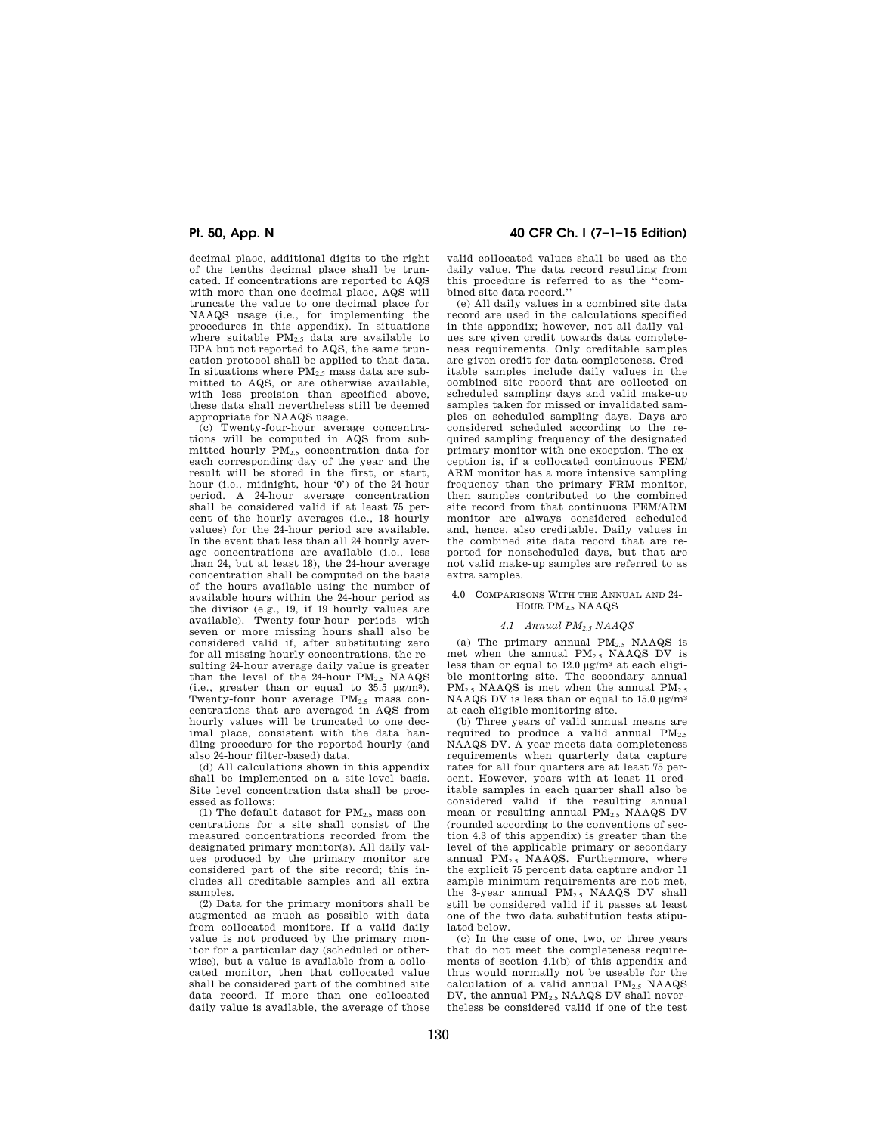decimal place, additional digits to the right of the tenths decimal place shall be truncated. If concentrations are reported to AQS with more than one decimal place, AQS will truncate the value to one decimal place for NAAQS usage (i.e., for implementing the procedures in this appendix). In situations where suitable  $PM_{2.5}$  data are available to EPA but not reported to AQS, the same truncation protocol shall be applied to that data. In situations where  $PM_2$ , mass data are submitted to AQS, or are otherwise available, with less precision than specified above, these data shall nevertheless still be deemed appropriate for NAAQS usage.

(c) Twenty-four-hour average concentrations will be computed in AQS from submitted hourly PM2.5 concentration data for each corresponding day of the year and the result will be stored in the first, or start, hour (i.e., midnight, hour '0') of the 24-hour period. A 24-hour average concentration shall be considered valid if at least 75 percent of the hourly averages (i.e., 18 hourly values) for the 24-hour period are available. In the event that less than all 24 hourly average concentrations are available (i.e., less than 24, but at least 18), the 24-hour average concentration shall be computed on the basis of the hours available using the number of available hours within the 24-hour period as the divisor (e.g., 19, if 19 hourly values are available). Twenty-four-hour periods with seven or more missing hours shall also be considered valid if, after substituting zero for all missing hourly concentrations, the resulting 24-hour average daily value is greater than the level of the  $24$ -hour  $PM_{2.5}$  NAAQS (i.e., greater than or equal to  $35.5 \text{ }\mu\text{g/m}^3$ ). Twenty-four hour average PM<sub>2.5</sub> mass concentrations that are averaged in AQS from hourly values will be truncated to one decimal place, consistent with the data handling procedure for the reported hourly (and also 24-hour filter-based) data.

(d) All calculations shown in this appendix shall be implemented on a site-level basis. Site level concentration data shall be processed as follows:

(1) The default dataset for  $PM_{2.5}$  mass concentrations for a site shall consist of the measured concentrations recorded from the designated primary monitor(s). All daily values produced by the primary monitor are considered part of the site record; this includes all creditable samples and all extra samples.

(2) Data for the primary monitors shall be augmented as much as possible with data from collocated monitors. If a valid daily value is not produced by the primary monitor for a particular day (scheduled or otherwise), but a value is available from a collocated monitor, then that collocated value shall be considered part of the combined site data record. If more than one collocated daily value is available, the average of those

# **Pt. 50, App. N 40 CFR Ch. I (7–1–15 Edition)**

valid collocated values shall be used as the daily value. The data record resulting from this procedure is referred to as the ''combined site data record.''

(e) All daily values in a combined site data record are used in the calculations specified in this appendix; however, not all daily values are given credit towards data completeness requirements. Only creditable samples are given credit for data completeness. Creditable samples include daily values in the combined site record that are collected on scheduled sampling days and valid make-up samples taken for missed or invalidated samples on scheduled sampling days. Days are considered scheduled according to the required sampling frequency of the designated primary monitor with one exception. The exception is, if a collocated continuous FEM/ ARM monitor has a more intensive sampling frequency than the primary FRM monitor, then samples contributed to the combined site record from that continuous FEM/ARM monitor are always considered scheduled and, hence, also creditable. Daily values in the combined site data record that are reported for nonscheduled days, but that are not valid make-up samples are referred to as extra samples.

### 4.0 COMPARISONS WITH THE ANNUAL AND 24- HOUR PM2.5 NAAQS

#### *4.1 Annual PM2.5 NAAQS*

(a) The primary annual PM*2.5* NAAQS is met when the annual PM2.5 NAAQS DV is less than or equal to  $12.0 \text{ }\mu\text{g/m}^3$  at each eligible monitoring site. The secondary annual  $PM_{2.5}$  NAAQS is met when the annual  $PM_{2.5}$ NAAQS DV is less than or equal to 15.0 μg/m3 at each eligible monitoring site.

(b) Three years of valid annual means are required to produce a valid annual  $PM_{2.5}$ NAAQS DV. A year meets data completeness requirements when quarterly data capture rates for all four quarters are at least 75 percent. However, years with at least 11 creditable samples in each quarter shall also be considered valid if the resulting annual mean or resulting annual PM2.5 NAAQS DV (rounded according to the conventions of section 4.3 of this appendix) is greater than the level of the applicable primary or secondary annual PM2.5 NAAQS. Furthermore, where the explicit 75 percent data capture and/or 11 sample minimum requirements are not met, the 3-year annual PM2.5 NAAQS DV shall still be considered valid if it passes at least one of the two data substitution tests stipulated below.

(c) In the case of one, two, or three years that do not meet the completeness requirements of section 4.1(b) of this appendix and thus would normally not be useable for the calculation of a valid annual  $PM_{2.5}$  NAAQS DV, the annual PM2.5 NAAQS DV shall nevertheless be considered valid if one of the test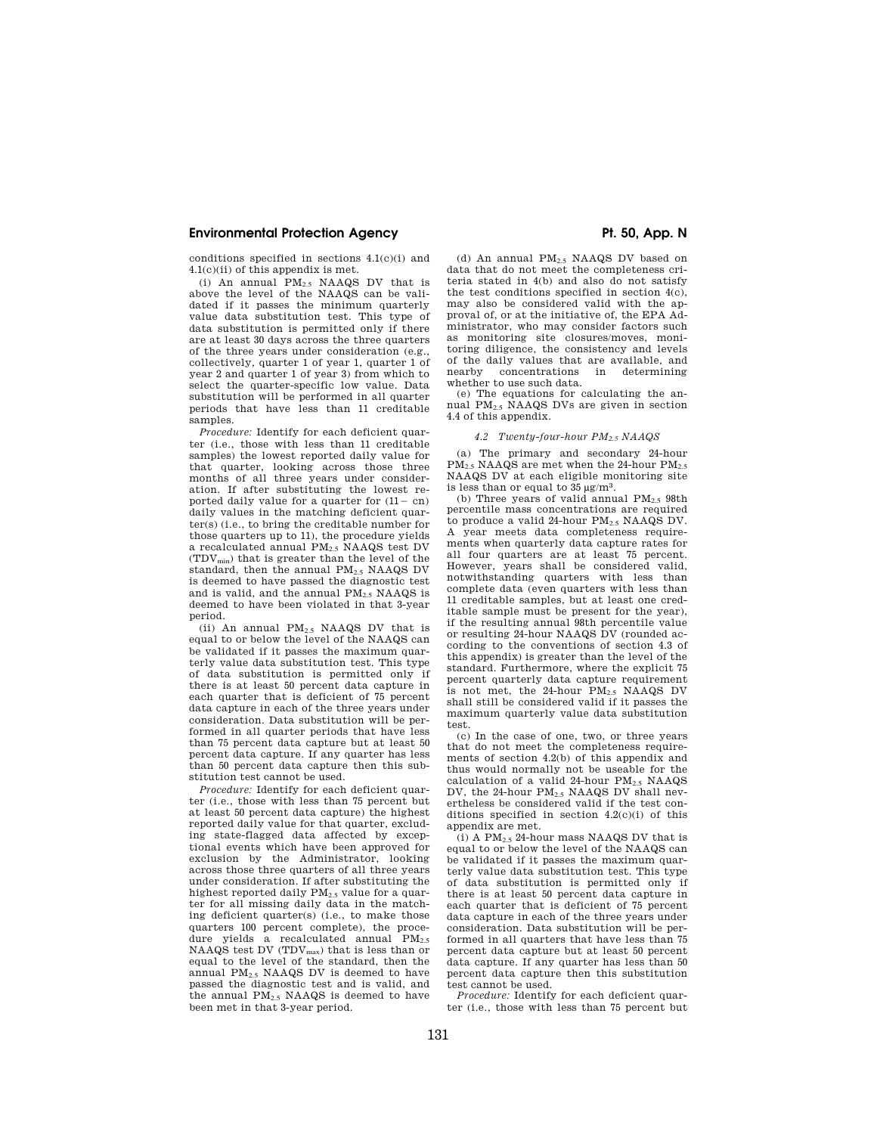# **Environmental Protection Agency**  The Contract of Pt. 50, App. N

conditions specified in sections 4.1(c)(i) and 4.1(c)(ii) of this appendix is met.

(i) An annual PM2.5 NAAQS DV that is above the level of the NAAQS can be validated if it passes the minimum quarterly value data substitution test. This type of data substitution is permitted only if there are at least 30 days across the three quarters of the three years under consideration (e.g., collectively, quarter 1 of year 1, quarter 1 of year 2 and quarter 1 of year 3) from which to select the quarter-specific low value. Data substitution will be performed in all quarter periods that have less than 11 creditable samples.

*Procedure:* Identify for each deficient quarter (i.e., those with less than 11 creditable samples) the lowest reported daily value for that quarter, looking across those three months of all three years under consideration. If after substituting the lowest reported daily value for a quarter for  $(11 - cn)$ daily values in the matching deficient quarter(s) (i.e., to bring the creditable number for those quarters up to 11), the procedure yields a recalculated annual PM2.5 NAAQS test DV (TDVmin) that is greater than the level of the standard, then the annual  $PM_{2.5}$  NAAQS DV is deemed to have passed the diagnostic test and is valid, and the annual PM<sub>2.5</sub> NAAQS is deemed to have been violated in that 3-year period.

(ii) An annual  $PM<sub>2.5</sub> NAAQS DV that is$ equal to or below the level of the NAAQS can be validated if it passes the maximum quarterly value data substitution test. This type of data substitution is permitted only if there is at least 50 percent data capture in each quarter that is deficient of 75 percent data capture in each of the three years under consideration. Data substitution will be performed in all quarter periods that have less than 75 percent data capture but at least 50 percent data capture. If any quarter has less than 50 percent data capture then this substitution test cannot be used.

*Procedure:* Identify for each deficient quarter (i.e., those with less than 75 percent but at least 50 percent data capture) the highest reported daily value for that quarter, excluding state-flagged data affected by exceptional events which have been approved for exclusion by the Administrator, looking across those three quarters of all three years under consideration. If after substituting the highest reported daily PM<sub>2.5</sub> value for a quarter for all missing daily data in the matching deficient quarter(s) (i.e., to make those quarters 100 percent complete), the procedure yields a recalculated annual  $PM_{2.5}$ <br>NAAQS test DV (TDV $_{max}$ ) that is less than or equal to the level of the standard, then the annual PM2.5 NAAQS DV is deemed to have passed the diagnostic test and is valid, and the annual  $PM_{2.5}$  NAAQS is deemed to have been met in that 3-year period.

(d) An annual  $PM_{2.5}$  NAAQS DV based on data that do not meet the completeness criteria stated in 4(b) and also do not satisfy the test conditions specified in section 4(c), may also be considered valid with the approval of, or at the initiative of, the EPA Administrator, who may consider factors such as monitoring site closures/moves, monitoring diligence, the consistency and levels of the daily values that are available, and concentrations whether to use such data.

(e) The equations for calculating the annual PM2.5 NAAQS DVs are given in section 4.4 of this appendix.

#### *4.2 Twenty-four-hour PM2.5 NAAQS*

(a) The primary and secondary 24-hour  $PM_{2.5}$  NAAQS are met when the 24-hour  $PM_{2.5}$ NAAQS DV at each eligible monitoring site is less than or equal to 35 μg/m3.

(b) Three years of valid annual  $PM_{2.5}$  98th percentile mass concentrations are required to produce a valid 24-hour PM<sub>2.5</sub> NAAQS DV. A year meets data completeness requirements when quarterly data capture rates for all four quarters are at least 75 percent. However, years shall be considered valid, notwithstanding quarters with less than complete data (even quarters with less than 11 creditable samples, but at least one creditable sample must be present for the year), if the resulting annual 98th percentile value or resulting 24-hour NAAQS DV (rounded according to the conventions of section 4.3 of this appendix) is greater than the level of the standard. Furthermore, where the explicit 75 percent quarterly data capture requirement is not met, the 24-hour PM2.5 NAAQS DV shall still be considered valid if it passes the maximum quarterly value data substitution test.

(c) In the case of one, two, or three years that do not meet the completeness requirements of section 4.2(b) of this appendix and thus would normally not be useable for the calculation of a valid 24-hour  $PM_{2.5}$  NAAQS DV, the 24-hour  $PM_{2.5}$  NAAQS DV shall nevertheless be considered valid if the test conditions specified in section 4.2(c)(i) of this appendix are met.

(i) A  $\text{PM}_{2.5}$  24-hour mass NAAQS DV that is equal to or below the level of the NAAQS can be validated if it passes the maximum quarterly value data substitution test. This type of data substitution is permitted only if there is at least 50 percent data capture in each quarter that is deficient of 75 percent data capture in each of the three years under consideration. Data substitution will be performed in all quarters that have less than 75 percent data capture but at least 50 percent data capture. If any quarter has less than 50 percent data capture then this substitution test cannot be used.

*Procedure:* Identify for each deficient quarter (i.e., those with less than 75 percent but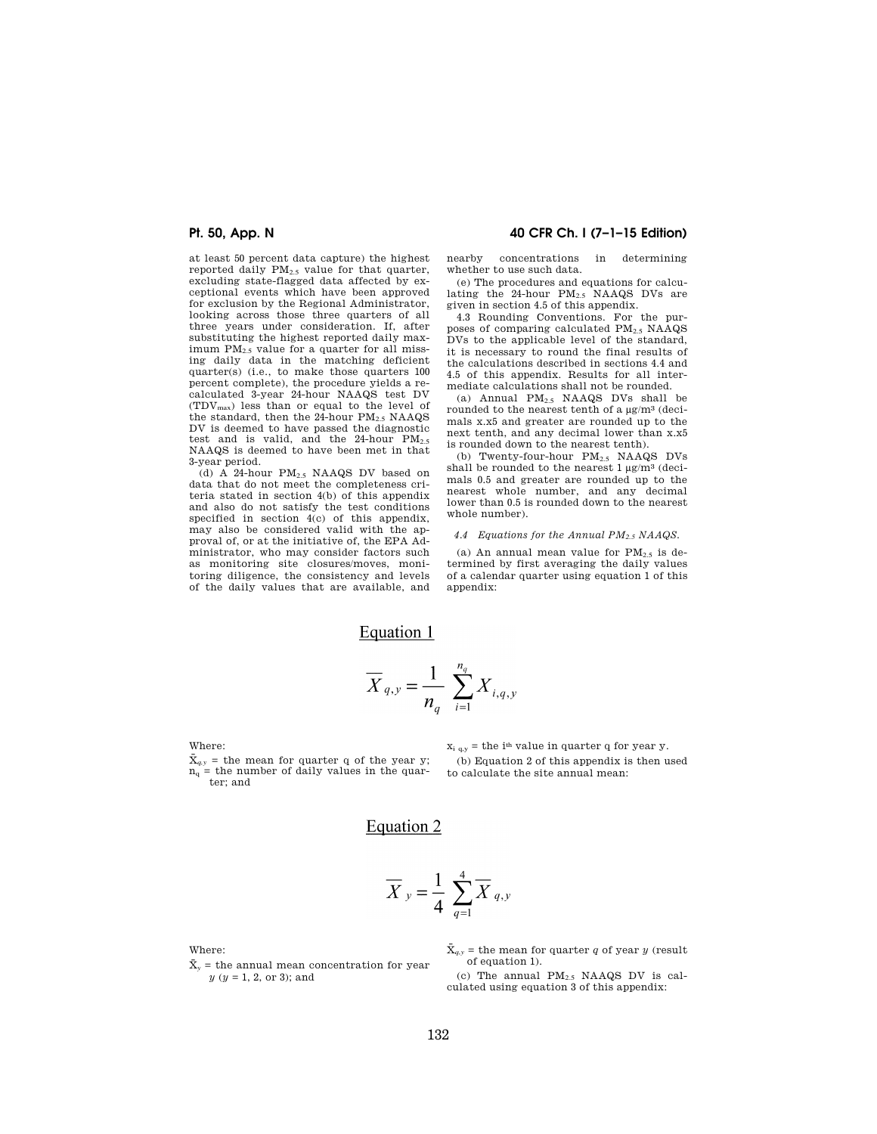at least 50 percent data capture) the highest reported daily PM2.5 value for that quarter, excluding state-flagged data affected by exceptional events which have been approved for exclusion by the Regional Administrator, looking across those three quarters of all three years under consideration. If, after substituting the highest reported daily maximum PM2.5 value for a quarter for all missing daily data in the matching deficient quarter(s) (i.e., to make those quarters 100 percent complete), the procedure yields a recalculated 3-year 24-hour NAAQS test DV (TDVmax) less than or equal to the level of the standard, then the  $24$ -hour  $PM_{2.5}$  NAAQS DV is deemed to have passed the diagnostic test and is valid, and the 24-hour PM<sub>2.5</sub><br>NAAQS is deemed to have been met in that 3-year period.

(d)  $\overline{A}$  24-hour PM<sub>2.5</sub> NAAQS DV based on data that do not meet the completeness criteria stated in section 4(b) of this appendix and also do not satisfy the test conditions specified in section  $4(c)$  of this appendix, may also be considered valid with the approval of, or at the initiative of, the EPA Administrator, who may consider factors such as monitoring site closures/moves, monitoring diligence, the consistency and levels of the daily values that are available, and

# **Pt. 50, App. N 40 CFR Ch. I (7–1–15 Edition)**

nearby concentrations in determining whether to use such data.

(e) The procedures and equations for calculating the 24-hour PM<sub>2.5</sub> NAAQS DVs are given in section 4.5 of this appendix.

4.3 Rounding Conventions. For the purposes of comparing calculated PM2.5 NAAQS DVs to the applicable level of the standard, it is necessary to round the final results of the calculations described in sections 4.4 and 4.5 of this appendix. Results for all intermediate calculations shall not be rounded.

(a) Annual  $PM_{2.5}$  NAAQS DVs shall be rounded to the nearest tenth of a μg/m3 (decimals x.x5 and greater are rounded up to the next tenth, and any decimal lower than x.x5 is rounded down to the nearest tenth).

(b) Twenty-four-hour PM2.5 NAAQS DVs shall be rounded to the nearest  $1 \mu g/m^3$  (decimals 0.5 and greater are rounded up to the nearest whole number, and any decimal lower than 0.5 is rounded down to the nearest whole number).

### *4.4 Equations for the Annual PM2.5 NAAQS.*

(a) An annual mean value for  $PM_{2.5}$  is determined by first averaging the daily values of a calendar quarter using equation 1 of this appendix:

Equation 1

$$
\overline{X}_{q,y} = \frac{1}{n_q} \sum_{i=1}^{n_q} X_{i,q,y}
$$

Where:

 $\bar{X}_{q,y}$  = the mean for quarter q of the year y;  $n_q$  = the number of daily values in the quarter; and

 $x_{i,q,y}$  = the i<sup>th</sup> value in quarter q for year y.

(b) Equation 2 of this appendix is then used to calculate the site annual mean:

# Equation 2

$$
\overline{X}_{y} = \frac{1}{4} \sum_{q=1}^{4} \overline{X}_{q,y}
$$

Where:

 $\bar{x}$  = the annual mean concentration for year *y* (*y* = 1, 2, or 3); and

 $\bar{X}_{q,y}$  = the mean for quarter *q* of year *y* (result of equation 1).

(c) The annual  $PM_{2.5}$  NAAQS DV is calculated using equation 3 of this appendix: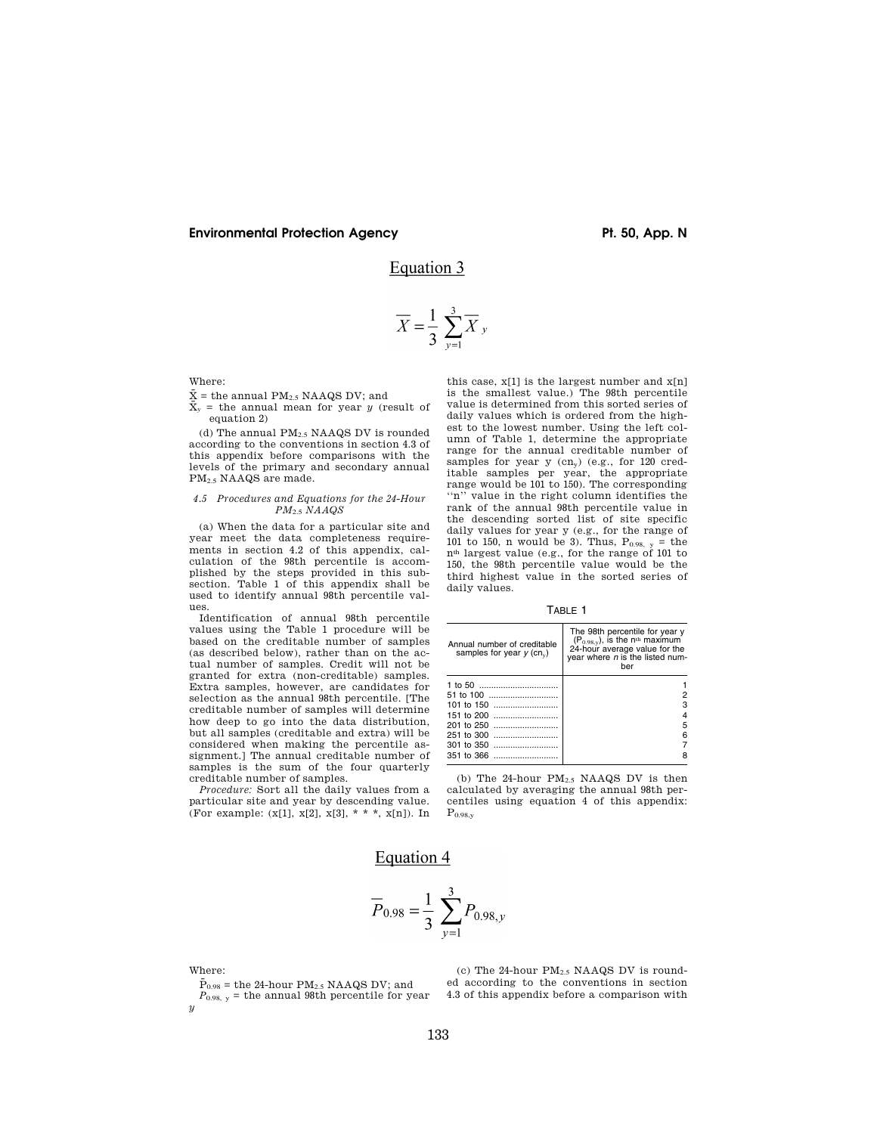# **Environmental Protection Agency**  The Contract of Pt. 50, App. N

# Equation 3

$$
\overline{X} = \frac{1}{3} \sum_{\nu=1}^{3} \overline{X}_{\nu}
$$

Where:

# $\bar{X}$  = the annual PM<sub>2.5</sub> NAAQS DV; and

 $\bar{X}_y$  = the annual mean for year *y* (result of equation 2)

(d) The annual  $\mathrm{PM_{2.5}}$  NAAQS DV is rounded according to the conventions in section 4.3 of this appendix before comparisons with the levels of the primary and secondary annual PM2.5 NAAQS are made.

### *4.5 Procedures and Equations for the 24-Hour PM*2.5 *NAAQS*

(a) When the data for a particular site and year meet the data completeness requirements in section 4.2 of this appendix, calculation of the 98th percentile is accomplished by the steps provided in this subsection. Table 1 of this appendix shall be used to identify annual 98th percentile values.

Identification of annual 98th percentile values using the Table 1 procedure will be based on the creditable number of samples (as described below), rather than on the actual number of samples. Credit will not be granted for extra (non-creditable) samples. Extra samples, however, are candidates for selection as the annual 98th percentile. [The creditable number of samples will determine how deep to go into the data distribution, but all samples (creditable and extra) will be considered when making the percentile assignment.] The annual creditable number of samples is the sum of the four quarterly creditable number of samples.

*Procedure:* Sort all the daily values from a particular site and year by descending value. (For example:  $(x[1], x[2], x[3], * * * , x[n])$ ). In

this case, x[1] is the largest number and x[n] is the smallest value.) The 98th percentile value is determined from this sorted series of daily values which is ordered from the highest to the lowest number. Using the left column of Table 1, determine the appropriate range for the annual creditable number of samples for year y  $(cn_v)$  (e.g., for 120 creditable samples per year, the appropriate range would be 101 to 150). The corresponding<br>""" value in the right column identifies the value in the right column identifies the rank of the annual 98th percentile value in the descending sorted list of site specific daily values for year y (e.g., for the range of 101 to 150, n would be 3). Thus,  $P_{0.98, y} =$  the nth largest value (e.g., for the range of 101 to 150, the 98th percentile value would be the third highest value in the sorted series of daily values.

TABLE 1

| Annual number of creditable<br>samples for year $y$ (cn <sub>v</sub> ) | The 98th percentile for year y $(P_{0.98,y})$ , is the n <sup>th</sup> maximum<br>24-hour average value for the<br>year where $n$ is the listed num-<br>ber |
|------------------------------------------------------------------------|-------------------------------------------------------------------------------------------------------------------------------------------------------------|
| 1 to 50                                                                |                                                                                                                                                             |
|                                                                        |                                                                                                                                                             |
| 101 to 150                                                             | з                                                                                                                                                           |
| 151 to 200                                                             |                                                                                                                                                             |
| 201 to 250                                                             | 5                                                                                                                                                           |
| 251 to 300                                                             | հ                                                                                                                                                           |
| 301 to 350                                                             |                                                                                                                                                             |
| 351 to 366                                                             |                                                                                                                                                             |

(b) The 24-hour  $PM_{2.5}$  NAAQS DV is then calculated by averaging the annual 98th percentiles using equation 4 of this appendix:  $P_{0.98, y}$ 

# Equation 4

$$
\overline{P}_{0.98} = \frac{1}{3} \sum_{y=1}^{3} P_{0.98,y}
$$

Where:

 $\bar{P}_{0.98}$  = the 24-hour PM<sub>2.5</sub> NAAQS DV; and  $P_{0.98, y}$  = the annual 98th percentile for year  $\overline{u}$ 

(c) The 24-hour  $PM_{2.5}$  NAAQS DV is rounded according to the conventions in section 4.3 of this appendix before a comparison with